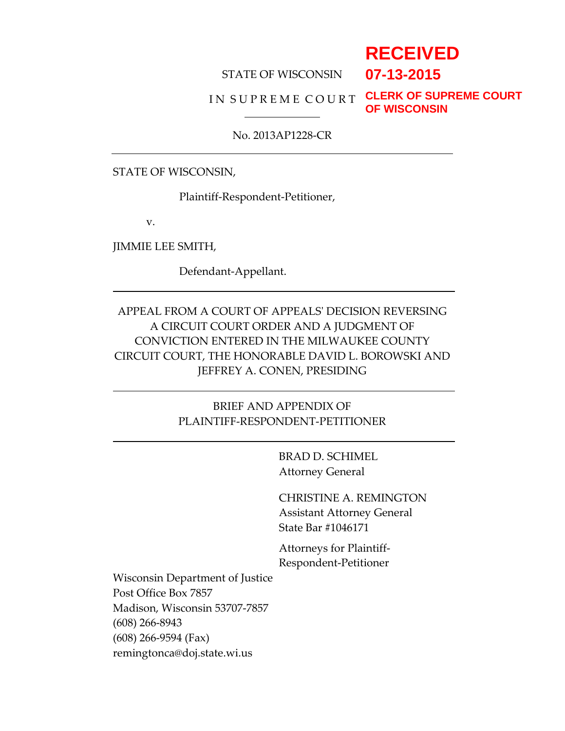## **RECEIVED**

#### STATE OF WISCONSIN

# **07-13-2015**

## I N S U P R E M E C O U R T **CLERK OF SUPREME COURT**

**OF WISCONSIN**

#### No. 2013AP1228-CR

STATE OF WISCONSIN,

Plaintiff-Respondent-Petitioner,

v.

JIMMIE LEE SMITH,

Defendant-Appellant.

APPEAL FROM A COURT OF APPEALS' DECISION REVERSING A CIRCUIT COURT ORDER AND A JUDGMENT OF CONVICTION ENTERED IN THE MILWAUKEE COUNTY CIRCUIT COURT, THE HONORABLE DAVID L. BOROWSKI AND JEFFREY A. CONEN, PRESIDING

## BRIEF AND APPENDIX OF PLAINTIFF-RESPONDENT-PETITIONER

BRAD D. SCHIMEL Attorney General

CHRISTINE A. REMINGTON Assistant Attorney General State Bar #1046171

Attorneys for Plaintiff-Respondent-Petitioner

Wisconsin Department of Justice Post Office Box 7857 Madison, Wisconsin 53707-7857 (608) 266-8943 (608) 266-9594 (Fax) remingtonca@doj.state.wi.us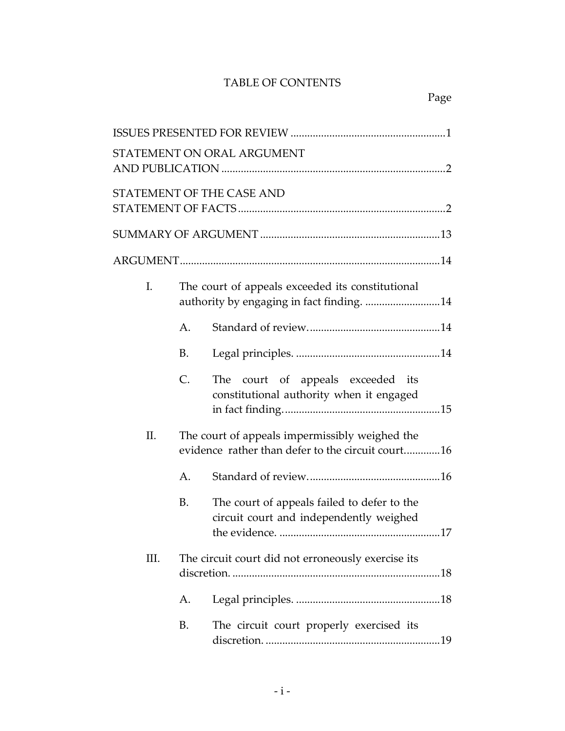## TABLE OF CONTENTS

|    |                                                                                                     | STATEMENT ON ORAL ARGUMENT                                                                    |
|----|-----------------------------------------------------------------------------------------------------|-----------------------------------------------------------------------------------------------|
|    |                                                                                                     | STATEMENT OF THE CASE AND                                                                     |
|    |                                                                                                     |                                                                                               |
|    |                                                                                                     |                                                                                               |
|    |                                                                                                     |                                                                                               |
| I. |                                                                                                     | The court of appeals exceeded its constitutional<br>authority by engaging in fact finding. 14 |
|    | A.                                                                                                  |                                                                                               |
|    | В.                                                                                                  |                                                                                               |
|    | C.                                                                                                  | The court of appeals exceeded its<br>constitutional authority when it engaged                 |
| П. | The court of appeals impermissibly weighed the<br>evidence rather than defer to the circuit court16 |                                                                                               |
|    | А.                                                                                                  |                                                                                               |
|    | В.                                                                                                  | The court of appeals failed to defer to the<br>circuit court and independently weighed        |
| Ш. |                                                                                                     | The circuit court did not erroneously exercise its                                            |
|    | А.                                                                                                  |                                                                                               |
|    | В.                                                                                                  | The circuit court properly exercised its                                                      |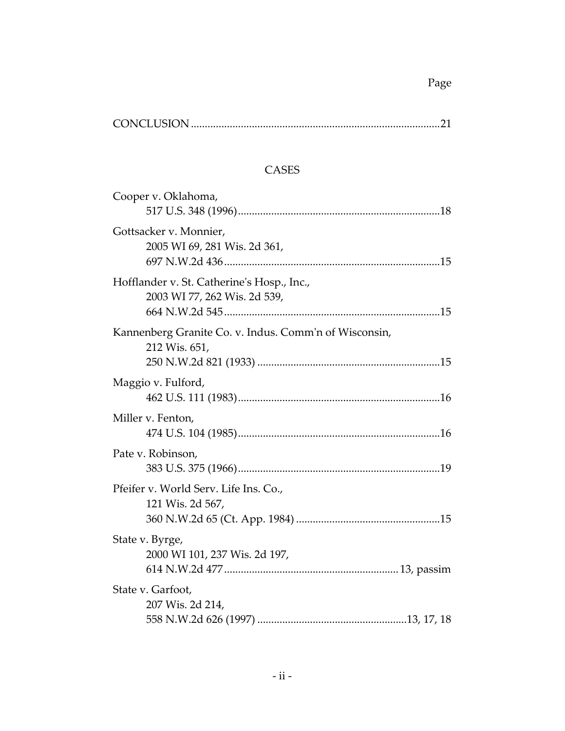|--|--|

## CASES

| Cooper v. Oklahoma,                                                        |  |
|----------------------------------------------------------------------------|--|
| Gottsacker v. Monnier,<br>2005 WI 69, 281 Wis. 2d 361,                     |  |
| Hofflander v. St. Catherine's Hosp., Inc.,<br>2003 WI 77, 262 Wis. 2d 539, |  |
| Kannenberg Granite Co. v. Indus. Comm'n of Wisconsin,<br>212 Wis. 651,     |  |
| Maggio v. Fulford,                                                         |  |
| Miller v. Fenton,                                                          |  |
| Pate v. Robinson,                                                          |  |
| Pfeifer v. World Serv. Life Ins. Co.,<br>121 Wis. 2d 567,                  |  |
| State v. Byrge,<br>2000 WI 101, 237 Wis. 2d 197,                           |  |
| State v. Garfoot,<br>207 Wis. 2d 214,                                      |  |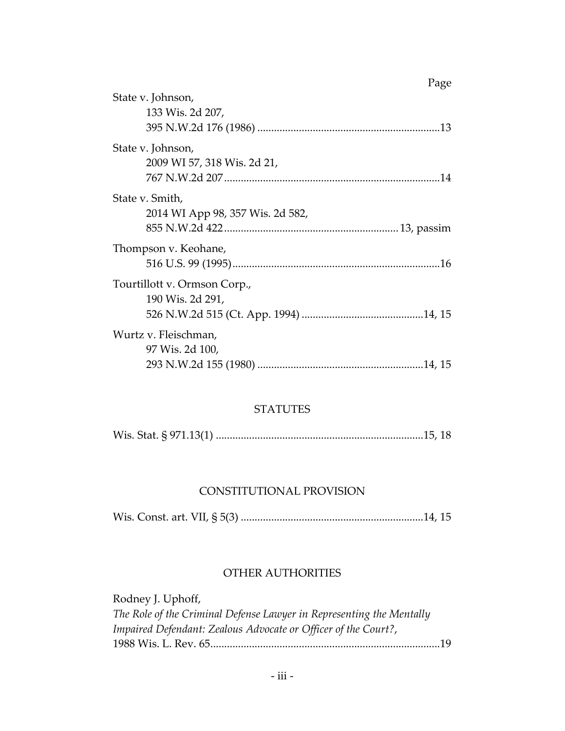| Page                             |
|----------------------------------|
| State v. Johnson,                |
| 133 Wis. 2d 207,                 |
|                                  |
| State v. Johnson,                |
| 2009 WI 57, 318 Wis. 2d 21,      |
|                                  |
| State v. Smith,                  |
| 2014 WI App 98, 357 Wis. 2d 582, |
|                                  |
| Thompson v. Keohane,             |
|                                  |
| Tourtillott v. Ormson Corp.,     |
| 190 Wis. 2d 291,                 |
|                                  |
| Wurtz v. Fleischman,             |
| 97 Wis. 2d 100,                  |
|                                  |

## **STATUTES**

|--|--|

## CONSTITUTIONAL PROVISION

Wis. Const. art. VII, § 5(3) ..................................................................14, 15

## OTHER AUTHORITIES

| Rodney J. Uphoff,                                                    |  |
|----------------------------------------------------------------------|--|
| The Role of the Criminal Defense Lawyer in Representing the Mentally |  |
| Impaired Defendant: Zealous Advocate or Officer of the Court?,       |  |
|                                                                      |  |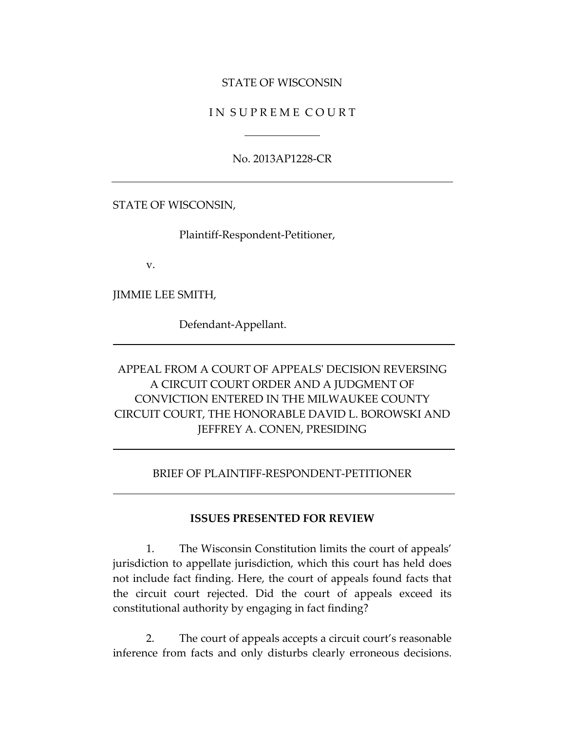#### STATE OF WISCONSIN

#### IN SUPREME COURT

No. 2013AP1228-CR

STATE OF WISCONSIN,

Plaintiff-Respondent-Petitioner,

v.

JIMMIE LEE SMITH,

Defendant-Appellant.

APPEAL FROM A COURT OF APPEALS' DECISION REVERSING A CIRCUIT COURT ORDER AND A JUDGMENT OF CONVICTION ENTERED IN THE MILWAUKEE COUNTY CIRCUIT COURT, THE HONORABLE DAVID L. BOROWSKI AND JEFFREY A. CONEN, PRESIDING

#### BRIEF OF PLAINTIFF-RESPONDENT-PETITIONER

#### **ISSUES PRESENTED FOR REVIEW**

1. The Wisconsin Constitution limits the court of appeals' jurisdiction to appellate jurisdiction, which this court has held does not include fact finding. Here, the court of appeals found facts that the circuit court rejected. Did the court of appeals exceed its constitutional authority by engaging in fact finding?

2. The court of appeals accepts a circuit court's reasonable inference from facts and only disturbs clearly erroneous decisions.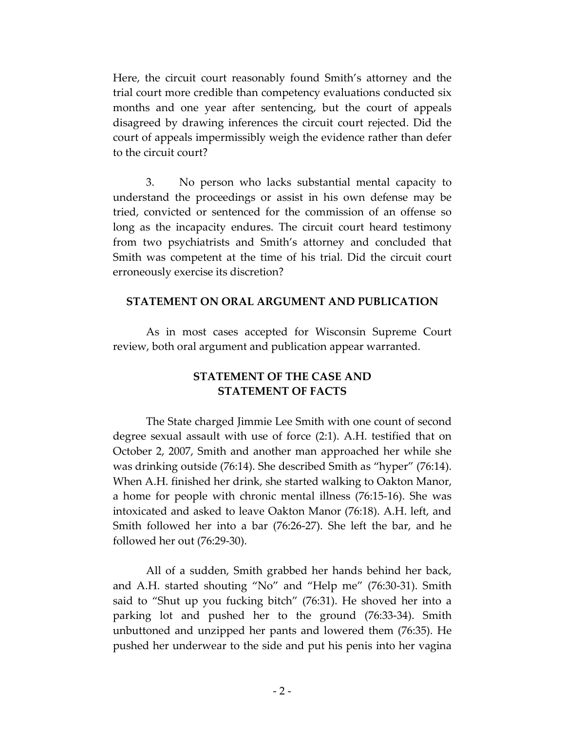Here, the circuit court reasonably found Smith's attorney and the trial court more credible than competency evaluations conducted six months and one year after sentencing, but the court of appeals disagreed by drawing inferences the circuit court rejected. Did the court of appeals impermissibly weigh the evidence rather than defer to the circuit court?

3. No person who lacks substantial mental capacity to understand the proceedings or assist in his own defense may be tried, convicted or sentenced for the commission of an offense so long as the incapacity endures. The circuit court heard testimony from two psychiatrists and Smith's attorney and concluded that Smith was competent at the time of his trial. Did the circuit court erroneously exercise its discretion?

#### **STATEMENT ON ORAL ARGUMENT AND PUBLICATION**

As in most cases accepted for Wisconsin Supreme Court review, both oral argument and publication appear warranted.

## **STATEMENT OF THE CASE AND STATEMENT OF FACTS**

The State charged Jimmie Lee Smith with one count of second degree sexual assault with use of force (2:1). A.H. testified that on October 2, 2007, Smith and another man approached her while she was drinking outside (76:14). She described Smith as "hyper" (76:14). When A.H. finished her drink, she started walking to Oakton Manor, a home for people with chronic mental illness (76:15-16). She was intoxicated and asked to leave Oakton Manor (76:18). A.H. left, and Smith followed her into a bar (76:26-27). She left the bar, and he followed her out (76:29-30).

All of a sudden, Smith grabbed her hands behind her back, and A.H. started shouting "No" and "Help me" (76:30-31). Smith said to "Shut up you fucking bitch" (76:31). He shoved her into a parking lot and pushed her to the ground (76:33-34). Smith unbuttoned and unzipped her pants and lowered them (76:35). He pushed her underwear to the side and put his penis into her vagina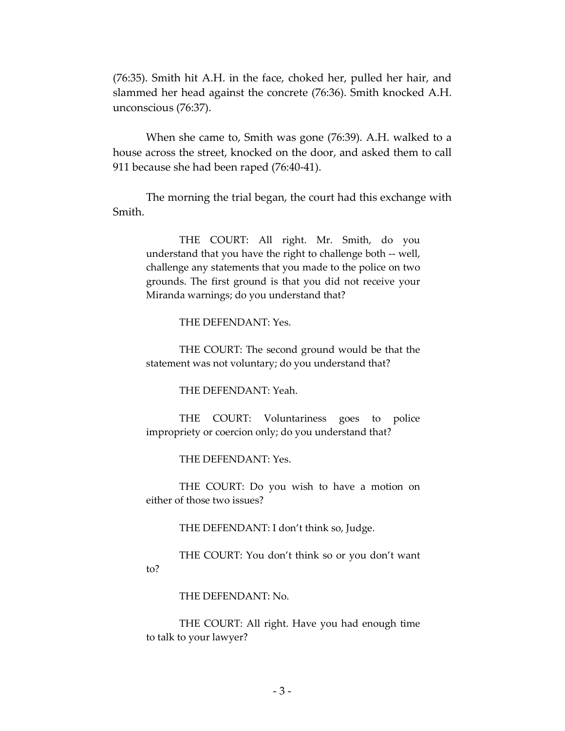(76:35). Smith hit A.H. in the face, choked her, pulled her hair, and slammed her head against the concrete (76:36). Smith knocked A.H. unconscious (76:37).

When she came to, Smith was gone (76:39). A.H. walked to a house across the street, knocked on the door, and asked them to call 911 because she had been raped (76:40-41).

The morning the trial began, the court had this exchange with Smith.

THE COURT: All right. Mr. Smith, do you understand that you have the right to challenge both -- well, challenge any statements that you made to the police on two grounds. The first ground is that you did not receive your Miranda warnings; do you understand that?

THE DEFENDANT: Yes.

THE COURT: The second ground would be that the statement was not voluntary; do you understand that?

THE DEFENDANT: Yeah.

THE COURT: Voluntariness goes to police impropriety or coercion only; do you understand that?

THE DEFENDANT: Yes.

THE COURT: Do you wish to have a motion on either of those two issues?

THE DEFENDANT: I don't think so, Judge.

THE COURT: You don't think so or you don't want to?

THE DEFENDANT: No.

THE COURT: All right. Have you had enough time to talk to your lawyer?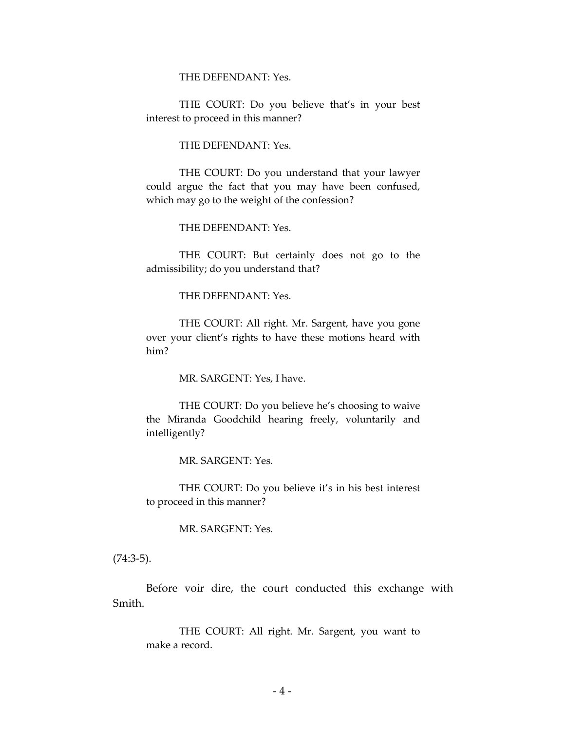THE DEFENDANT: Yes.

THE COURT: Do you believe that's in your best interest to proceed in this manner?

THE DEFENDANT: Yes.

THE COURT: Do you understand that your lawyer could argue the fact that you may have been confused, which may go to the weight of the confession?

THE DEFENDANT: Yes.

THE COURT: But certainly does not go to the admissibility; do you understand that?

THE DEFENDANT: Yes.

THE COURT: All right. Mr. Sargent, have you gone over your client's rights to have these motions heard with him?

MR. SARGENT: Yes, I have.

THE COURT: Do you believe he's choosing to waive the Miranda Goodchild hearing freely, voluntarily and intelligently?

MR. SARGENT: Yes.

THE COURT: Do you believe it's in his best interest to proceed in this manner?

MR. SARGENT: Yes.

(74:3-5).

Before voir dire, the court conducted this exchange with Smith.

THE COURT: All right. Mr. Sargent, you want to make a record.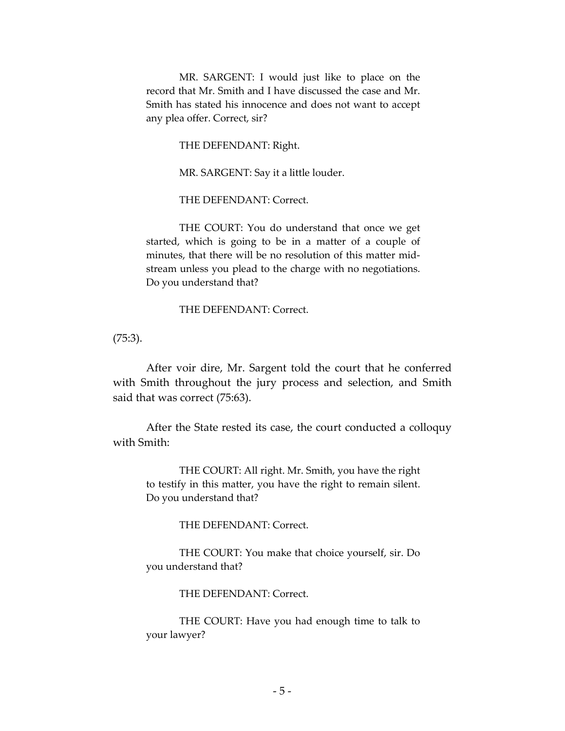MR. SARGENT: I would just like to place on the record that Mr. Smith and I have discussed the case and Mr. Smith has stated his innocence and does not want to accept any plea offer. Correct, sir?

THE DEFENDANT: Right.

MR. SARGENT: Say it a little louder.

THE DEFENDANT: Correct.

THE COURT: You do understand that once we get started, which is going to be in a matter of a couple of minutes, that there will be no resolution of this matter midstream unless you plead to the charge with no negotiations. Do you understand that?

THE DEFENDANT: Correct.

(75:3).

After voir dire, Mr. Sargent told the court that he conferred with Smith throughout the jury process and selection, and Smith said that was correct (75:63).

After the State rested its case, the court conducted a colloquy with Smith:

THE COURT: All right. Mr. Smith, you have the right to testify in this matter, you have the right to remain silent. Do you understand that?

THE DEFENDANT: Correct.

THE COURT: You make that choice yourself, sir. Do you understand that?

THE DEFENDANT: Correct.

THE COURT: Have you had enough time to talk to your lawyer?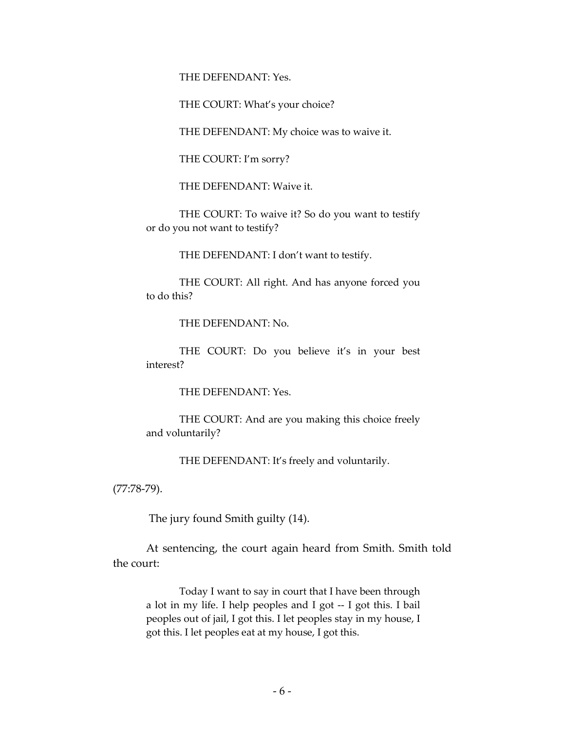THE DEFENDANT: Yes.

THE COURT: What's your choice?

THE DEFENDANT: My choice was to waive it.

THE COURT: I'm sorry?

THE DEFENDANT: Waive it.

THE COURT: To waive it? So do you want to testify or do you not want to testify?

THE DEFENDANT: I don't want to testify.

THE COURT: All right. And has anyone forced you to do this?

THE DEFENDANT: No.

THE COURT: Do you believe it's in your best interest?

THE DEFENDANT: Yes.

THE COURT: And are you making this choice freely and voluntarily?

THE DEFENDANT: It's freely and voluntarily.

(77:78-79).

The jury found Smith guilty (14).

At sentencing, the court again heard from Smith. Smith told the court:

Today I want to say in court that I have been through a lot in my life. I help peoples and I got -- I got this. I bail peoples out of jail, I got this. I let peoples stay in my house, I got this. I let peoples eat at my house, I got this.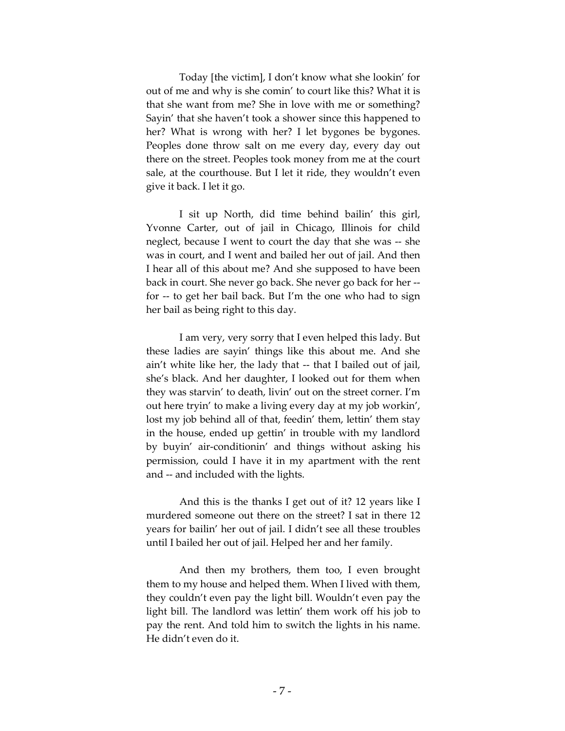Today [the victim], I don't know what she lookin' for out of me and why is she comin' to court like this? What it is that she want from me? She in love with me or something? Sayin' that she haven't took a shower since this happened to her? What is wrong with her? I let bygones be bygones. Peoples done throw salt on me every day, every day out there on the street. Peoples took money from me at the court sale, at the courthouse. But I let it ride, they wouldn't even give it back. I let it go.

I sit up North, did time behind bailin' this girl, Yvonne Carter, out of jail in Chicago, Illinois for child neglect, because I went to court the day that she was -- she was in court, and I went and bailed her out of jail. And then I hear all of this about me? And she supposed to have been back in court. She never go back. She never go back for her - for -- to get her bail back. But I'm the one who had to sign her bail as being right to this day.

I am very, very sorry that I even helped this lady. But these ladies are sayin' things like this about me. And she ain't white like her, the lady that -- that I bailed out of jail, she's black. And her daughter, I looked out for them when they was starvin' to death, livin' out on the street corner. I'm out here tryin' to make a living every day at my job workin', lost my job behind all of that, feedin' them, lettin' them stay in the house, ended up gettin' in trouble with my landlord by buyin' air-conditionin' and things without asking his permission, could I have it in my apartment with the rent and -- and included with the lights.

And this is the thanks I get out of it? 12 years like I murdered someone out there on the street? I sat in there 12 years for bailin' her out of jail. I didn't see all these troubles until I bailed her out of jail. Helped her and her family.

And then my brothers, them too, I even brought them to my house and helped them. When I lived with them, they couldn't even pay the light bill. Wouldn't even pay the light bill. The landlord was lettin' them work off his job to pay the rent. And told him to switch the lights in his name. He didn't even do it.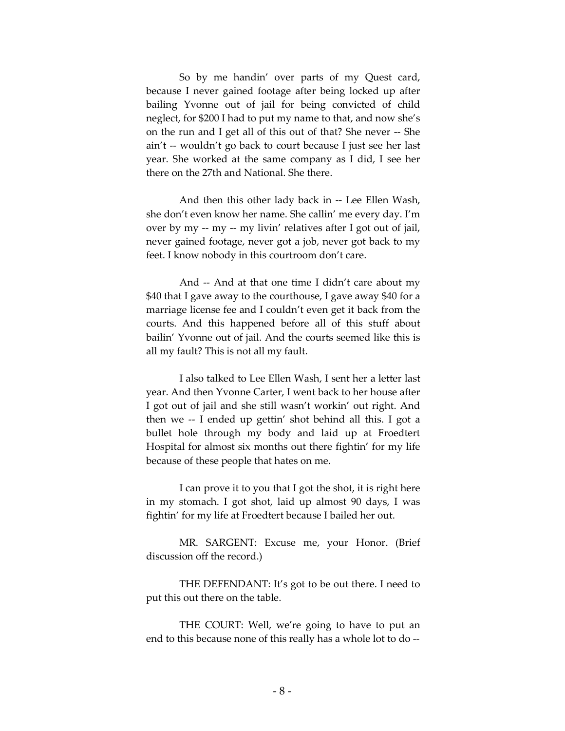So by me handin' over parts of my Quest card, because I never gained footage after being locked up after bailing Yvonne out of jail for being convicted of child neglect, for \$200 I had to put my name to that, and now she's on the run and I get all of this out of that? She never -- She ain't -- wouldn't go back to court because I just see her last year. She worked at the same company as I did, I see her there on the 27th and National. She there.

And then this other lady back in -- Lee Ellen Wash, she don't even know her name. She callin' me every day. I'm over by my -- my -- my livin' relatives after I got out of jail, never gained footage, never got a job, never got back to my feet. I know nobody in this courtroom don't care.

And -- And at that one time I didn't care about my \$40 that I gave away to the courthouse, I gave away \$40 for a marriage license fee and I couldn't even get it back from the courts. And this happened before all of this stuff about bailin' Yvonne out of jail. And the courts seemed like this is all my fault? This is not all my fault.

I also talked to Lee Ellen Wash, I sent her a letter last year. And then Yvonne Carter, I went back to her house after I got out of jail and she still wasn't workin' out right. And then we -- I ended up gettin' shot behind all this. I got a bullet hole through my body and laid up at Froedtert Hospital for almost six months out there fightin' for my life because of these people that hates on me.

I can prove it to you that I got the shot, it is right here in my stomach. I got shot, laid up almost 90 days, I was fightin' for my life at Froedtert because I bailed her out.

MR. SARGENT: Excuse me, your Honor. (Brief discussion off the record.)

THE DEFENDANT: It's got to be out there. I need to put this out there on the table.

THE COURT: Well, we're going to have to put an end to this because none of this really has a whole lot to do --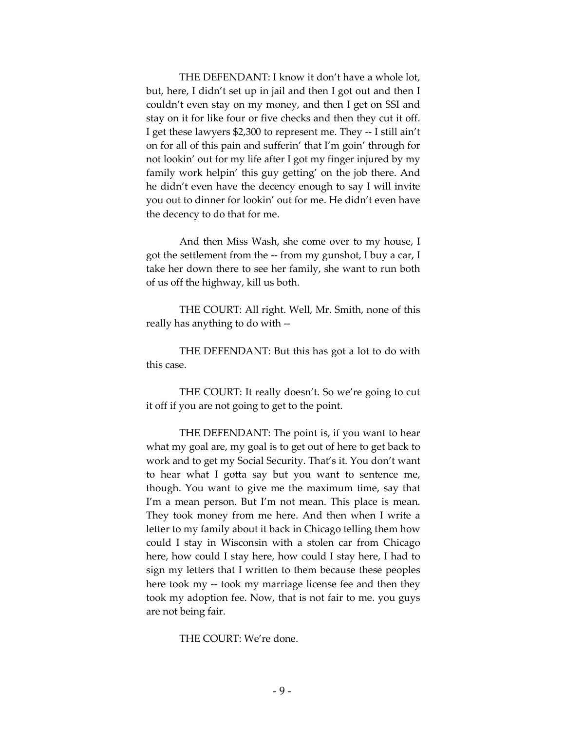THE DEFENDANT: I know it don't have a whole lot, but, here, I didn't set up in jail and then I got out and then I couldn't even stay on my money, and then I get on SSI and stay on it for like four or five checks and then they cut it off. I get these lawyers \$2,300 to represent me. They -- I still ain't on for all of this pain and sufferin' that I'm goin' through for not lookin' out for my life after I got my finger injured by my family work helpin' this guy getting' on the job there. And he didn't even have the decency enough to say I will invite you out to dinner for lookin' out for me. He didn't even have the decency to do that for me.

And then Miss Wash, she come over to my house, I got the settlement from the -- from my gunshot, I buy a car, I take her down there to see her family, she want to run both of us off the highway, kill us both.

THE COURT: All right. Well, Mr. Smith, none of this really has anything to do with --

THE DEFENDANT: But this has got a lot to do with this case.

THE COURT: It really doesn't. So we're going to cut it off if you are not going to get to the point.

THE DEFENDANT: The point is, if you want to hear what my goal are, my goal is to get out of here to get back to work and to get my Social Security. That's it. You don't want to hear what I gotta say but you want to sentence me, though. You want to give me the maximum time, say that I'm a mean person. But I'm not mean. This place is mean. They took money from me here. And then when I write a letter to my family about it back in Chicago telling them how could I stay in Wisconsin with a stolen car from Chicago here, how could I stay here, how could I stay here, I had to sign my letters that I written to them because these peoples here took my -- took my marriage license fee and then they took my adoption fee. Now, that is not fair to me. you guys are not being fair.

THE COURT: We're done.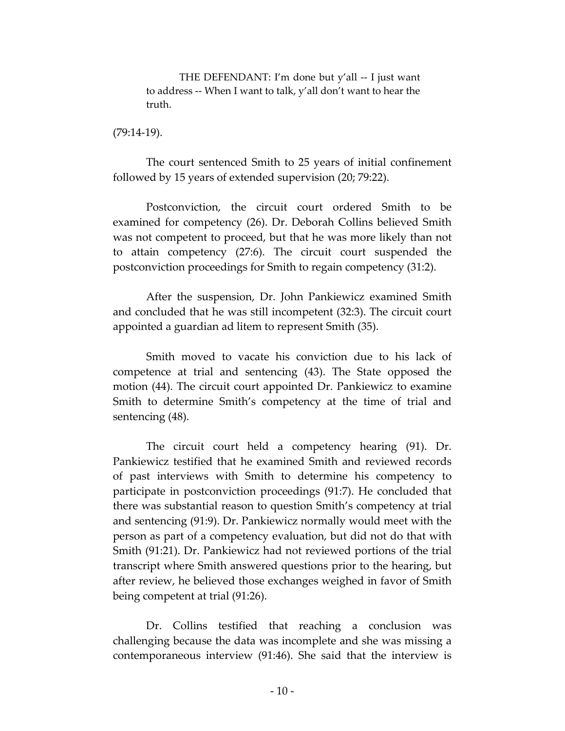THE DEFENDANT: I'm done but  $y'$ all  $-$  I just want to address -- When I want to talk, y'all don't want to hear the truth.

(79:14-19).

The court sentenced Smith to 25 years of initial confinement followed by 15 years of extended supervision (20; 79:22).

Postconviction, the circuit court ordered Smith to be examined for competency (26). Dr. Deborah Collins believed Smith was not competent to proceed, but that he was more likely than not to attain competency (27:6). The circuit court suspended the postconviction proceedings for Smith to regain competency (31:2).

After the suspension, Dr. John Pankiewicz examined Smith and concluded that he was still incompetent (32:3). The circuit court appointed a guardian ad litem to represent Smith (35).

Smith moved to vacate his conviction due to his lack of competence at trial and sentencing (43). The State opposed the motion (44). The circuit court appointed Dr. Pankiewicz to examine Smith to determine Smith's competency at the time of trial and sentencing (48).

The circuit court held a competency hearing (91). Dr. Pankiewicz testified that he examined Smith and reviewed records of past interviews with Smith to determine his competency to participate in postconviction proceedings (91:7). He concluded that there was substantial reason to question Smith's competency at trial and sentencing (91:9). Dr. Pankiewicz normally would meet with the person as part of a competency evaluation, but did not do that with Smith (91:21). Dr. Pankiewicz had not reviewed portions of the trial transcript where Smith answered questions prior to the hearing, but after review, he believed those exchanges weighed in favor of Smith being competent at trial (91:26).

Dr. Collins testified that reaching a conclusion was challenging because the data was incomplete and she was missing a contemporaneous interview (91:46). She said that the interview is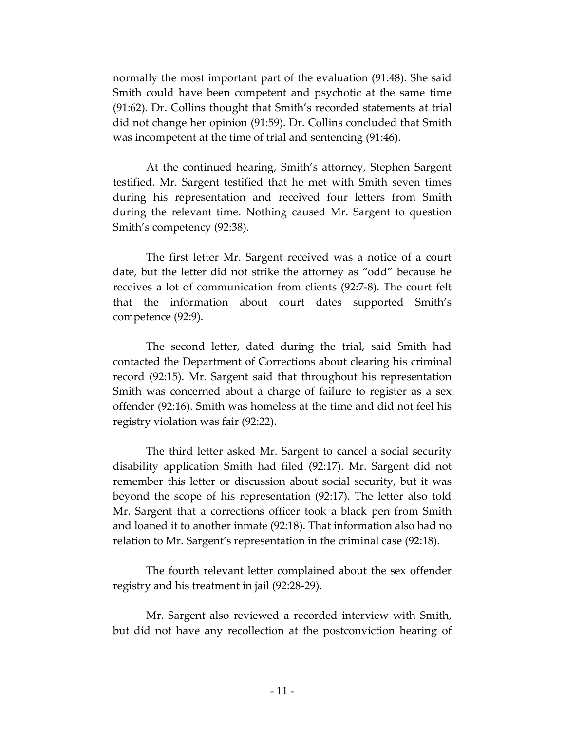normally the most important part of the evaluation (91:48). She said Smith could have been competent and psychotic at the same time (91:62). Dr. Collins thought that Smith's recorded statements at trial did not change her opinion (91:59). Dr. Collins concluded that Smith was incompetent at the time of trial and sentencing (91:46).

At the continued hearing, Smith's attorney, Stephen Sargent testified. Mr. Sargent testified that he met with Smith seven times during his representation and received four letters from Smith during the relevant time. Nothing caused Mr. Sargent to question Smith's competency (92:38).

The first letter Mr. Sargent received was a notice of a court date, but the letter did not strike the attorney as "odd" because he receives a lot of communication from clients (92:7-8). The court felt that the information about court dates supported Smith's competence (92:9).

The second letter, dated during the trial, said Smith had contacted the Department of Corrections about clearing his criminal record (92:15). Mr. Sargent said that throughout his representation Smith was concerned about a charge of failure to register as a sex offender (92:16). Smith was homeless at the time and did not feel his registry violation was fair (92:22).

The third letter asked Mr. Sargent to cancel a social security disability application Smith had filed (92:17). Mr. Sargent did not remember this letter or discussion about social security, but it was beyond the scope of his representation (92:17). The letter also told Mr. Sargent that a corrections officer took a black pen from Smith and loaned it to another inmate (92:18). That information also had no relation to Mr. Sargent's representation in the criminal case (92:18).

The fourth relevant letter complained about the sex offender registry and his treatment in jail (92:28-29).

Mr. Sargent also reviewed a recorded interview with Smith, but did not have any recollection at the postconviction hearing of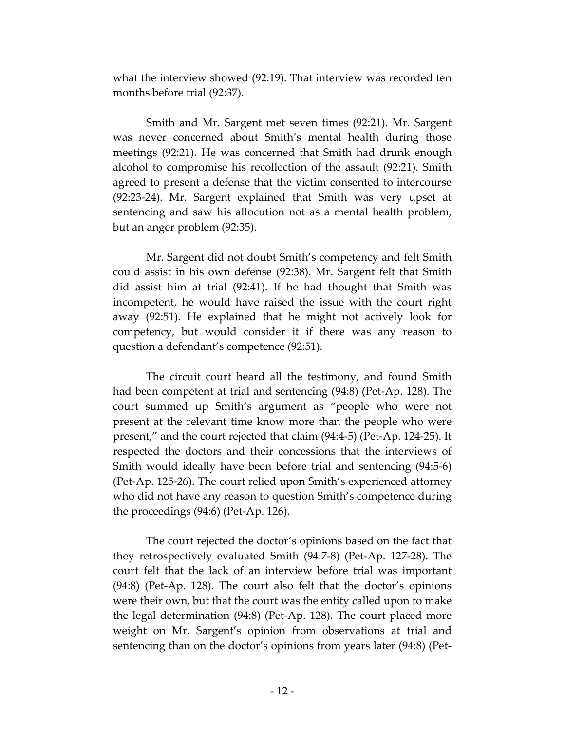what the interview showed (92:19). That interview was recorded ten months before trial (92:37).

Smith and Mr. Sargent met seven times (92:21). Mr. Sargent was never concerned about Smith's mental health during those meetings (92:21). He was concerned that Smith had drunk enough alcohol to compromise his recollection of the assault (92:21). Smith agreed to present a defense that the victim consented to intercourse (92:23-24). Mr. Sargent explained that Smith was very upset at sentencing and saw his allocution not as a mental health problem, but an anger problem (92:35).

Mr. Sargent did not doubt Smith's competency and felt Smith could assist in his own defense (92:38). Mr. Sargent felt that Smith did assist him at trial (92:41). If he had thought that Smith was incompetent, he would have raised the issue with the court right away (92:51). He explained that he might not actively look for competency, but would consider it if there was any reason to question a defendant's competence (92:51).

The circuit court heard all the testimony, and found Smith had been competent at trial and sentencing (94:8) (Pet-Ap. 128). The court summed up Smith's argument as "people who were not present at the relevant time know more than the people who were present," and the court rejected that claim (94:4-5) (Pet-Ap. 124-25). It respected the doctors and their concessions that the interviews of Smith would ideally have been before trial and sentencing (94:5-6) (Pet-Ap. 125-26). The court relied upon Smith's experienced attorney who did not have any reason to question Smith's competence during the proceedings (94:6) (Pet-Ap. 126).

The court rejected the doctor's opinions based on the fact that they retrospectively evaluated Smith (94:7-8) (Pet-Ap. 127-28). The court felt that the lack of an interview before trial was important (94:8) (Pet-Ap. 128). The court also felt that the doctor's opinions were their own, but that the court was the entity called upon to make the legal determination (94:8) (Pet-Ap. 128). The court placed more weight on Mr. Sargent's opinion from observations at trial and sentencing than on the doctor's opinions from years later (94:8) (Pet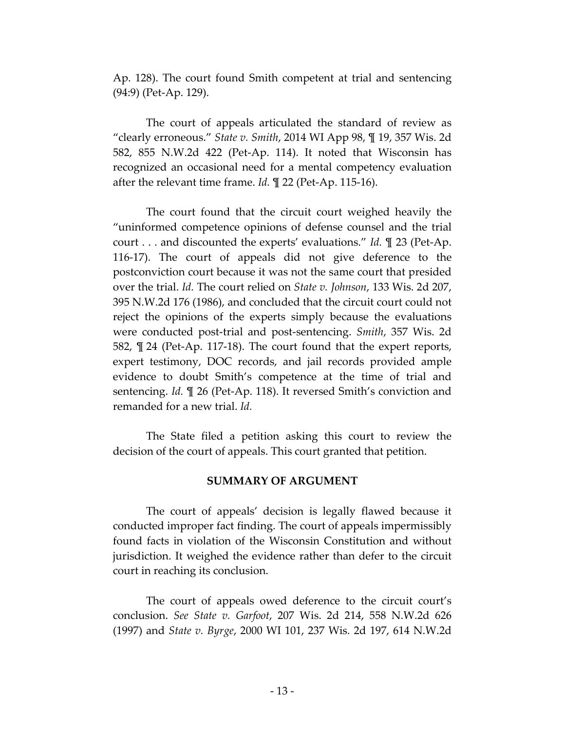Ap. 128). The court found Smith competent at trial and sentencing (94:9) (Pet-Ap. 129).

The court of appeals articulated the standard of review as "clearly erroneous." *State v. Smith*, 2014 WI App 98, ¶ 19, 357 Wis. 2d 582, 855 N.W.2d 422 (Pet-Ap. 114). It noted that Wisconsin has recognized an occasional need for a mental competency evaluation after the relevant time frame. *Id.* ¶ 22 (Pet-Ap. 115-16).

The court found that the circuit court weighed heavily the "uninformed competence opinions of defense counsel and the trial court . . . and discounted the experts' evaluations." *Id.* ¶ 23 (Pet-Ap. 116-17). The court of appeals did not give deference to the postconviction court because it was not the same court that presided over the trial. *Id.* The court relied on *State v. Johnson*, 133 Wis. 2d 207, 395 N.W.2d 176 (1986), and concluded that the circuit court could not reject the opinions of the experts simply because the evaluations were conducted post-trial and post-sentencing. *Smith*, 357 Wis. 2d 582, ¶ 24 (Pet-Ap. 117-18). The court found that the expert reports, expert testimony, DOC records, and jail records provided ample evidence to doubt Smith's competence at the time of trial and sentencing. *Id.* ¶ 26 (Pet-Ap. 118). It reversed Smith's conviction and remanded for a new trial. *Id.*

The State filed a petition asking this court to review the decision of the court of appeals. This court granted that petition.

#### **SUMMARY OF ARGUMENT**

The court of appeals' decision is legally flawed because it conducted improper fact finding. The court of appeals impermissibly found facts in violation of the Wisconsin Constitution and without jurisdiction. It weighed the evidence rather than defer to the circuit court in reaching its conclusion.

The court of appeals owed deference to the circuit court's conclusion. *See State v. Garfoot*, 207 Wis. 2d 214, 558 N.W.2d 626 (1997) and *State v. Byrge*, 2000 WI 101, 237 Wis. 2d 197, 614 N.W.2d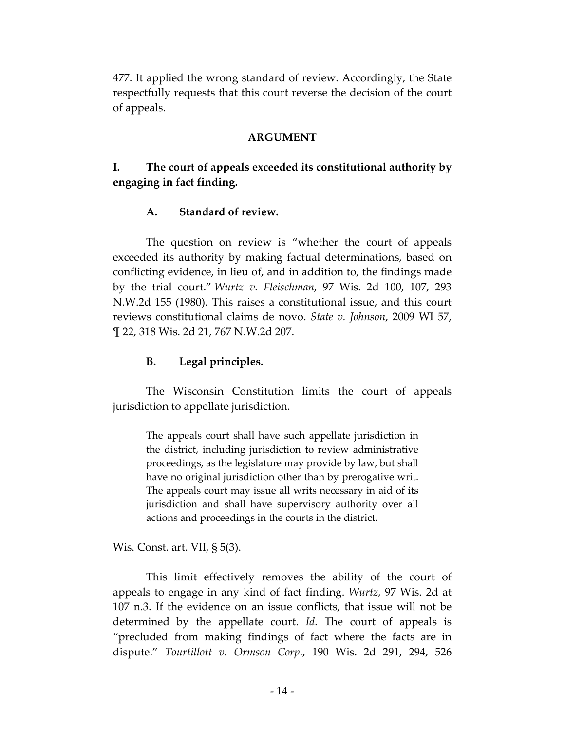477. It applied the wrong standard of review. Accordingly, the State respectfully requests that this court reverse the decision of the court of appeals.

## **ARGUMENT**

**I. The court of appeals exceeded its constitutional authority by engaging in fact finding.** 

## **A. Standard of review.**

The question on review is "whether the court of appeals exceeded its authority by making factual determinations, based on conflicting evidence, in lieu of, and in addition to, the findings made by the trial court." *Wurtz v. Fleischman*, 97 Wis. 2d 100, 107, 293 N.W.2d 155 (1980). This raises a constitutional issue, and this court reviews constitutional claims de novo. *State v. Johnson*, 2009 WI 57, ¶ 22, 318 Wis. 2d 21, 767 N.W.2d 207.

## **B. Legal principles.**

The Wisconsin Constitution limits the court of appeals jurisdiction to appellate jurisdiction.

The appeals court shall have such appellate jurisdiction in the district, including jurisdiction to review administrative proceedings, as the legislature may provide by law, but shall have no original jurisdiction other than by prerogative writ. The appeals court may issue all writs necessary in aid of its jurisdiction and shall have supervisory authority over all actions and proceedings in the courts in the district.

Wis. Const. art. VII, § 5(3).

This limit effectively removes the ability of the court of appeals to engage in any kind of fact finding. *Wurtz*, 97 Wis. 2d at 107 n.3. If the evidence on an issue conflicts, that issue will not be determined by the appellate court. *Id.* The court of appeals is "precluded from making findings of fact where the facts are in dispute." *Tourtillott v. Ormson Corp*., 190 Wis. 2d 291, 294, 526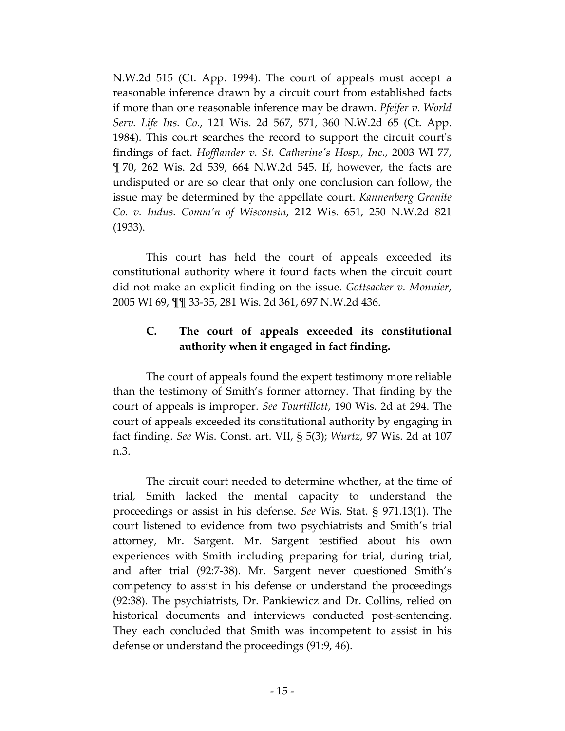N.W.2d 515 (Ct. App. 1994). The court of appeals must accept a reasonable inference drawn by a circuit court from established facts if more than one reasonable inference may be drawn. *Pfeifer v. World Serv. Life Ins. Co.*, 121 Wis. 2d 567, 571, 360 N.W.2d 65 (Ct. App. 1984). This court searches the record to support the circuit court's findings of fact. *Hofflander v. St. Catherine's Hosp., Inc.*, 2003 WI 77, ¶ 70, 262 Wis. 2d 539, 664 N.W.2d 545. If, however, the facts are undisputed or are so clear that only one conclusion can follow, the issue may be determined by the appellate court. *Kannenberg Granite Co. v. Indus. Comm'n of Wisconsin*, 212 Wis. 651, 250 N.W.2d 821 (1933).

This court has held the court of appeals exceeded its constitutional authority where it found facts when the circuit court did not make an explicit finding on the issue. *Gottsacker v. Monnier*, 2005 WI 69, ¶¶ 33-35, 281 Wis. 2d 361, 697 N.W.2d 436.

## **C. The court of appeals exceeded its constitutional authority when it engaged in fact finding.**

The court of appeals found the expert testimony more reliable than the testimony of Smith's former attorney. That finding by the court of appeals is improper. *See Tourtillott*, 190 Wis. 2d at 294. The court of appeals exceeded its constitutional authority by engaging in fact finding. *See* Wis. Const. art. VII, § 5(3); *Wurtz*, 97 Wis. 2d at 107 n.3.

The circuit court needed to determine whether, at the time of trial, Smith lacked the mental capacity to understand the proceedings or assist in his defense. *See* Wis. Stat. § 971.13(1). The court listened to evidence from two psychiatrists and Smith's trial attorney, Mr. Sargent. Mr. Sargent testified about his own experiences with Smith including preparing for trial, during trial, and after trial (92:7-38). Mr. Sargent never questioned Smith's competency to assist in his defense or understand the proceedings (92:38). The psychiatrists, Dr. Pankiewicz and Dr. Collins, relied on historical documents and interviews conducted post-sentencing. They each concluded that Smith was incompetent to assist in his defense or understand the proceedings (91:9, 46).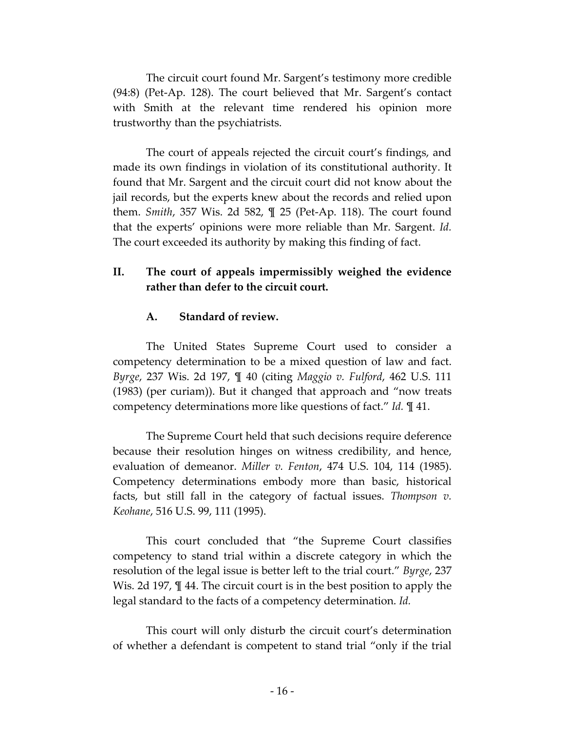The circuit court found Mr. Sargent's testimony more credible (94:8) (Pet-Ap. 128). The court believed that Mr. Sargent's contact with Smith at the relevant time rendered his opinion more trustworthy than the psychiatrists.

The court of appeals rejected the circuit court's findings, and made its own findings in violation of its constitutional authority. It found that Mr. Sargent and the circuit court did not know about the jail records, but the experts knew about the records and relied upon them. *Smith*, 357 Wis. 2d 582, ¶ 25 (Pet-Ap. 118). The court found that the experts' opinions were more reliable than Mr. Sargent. *Id.* The court exceeded its authority by making this finding of fact.

## **II. The court of appeals impermissibly weighed the evidence rather than defer to the circuit court.**

## **A. Standard of review.**

The United States Supreme Court used to consider a competency determination to be a mixed question of law and fact. *Byrge*, 237 Wis. 2d 197, ¶ 40 (citing *Maggio v. Fulford*, 462 U.S. 111 (1983) (per curiam)). But it changed that approach and "now treats competency determinations more like questions of fact." *Id.* ¶ 41.

The Supreme Court held that such decisions require deference because their resolution hinges on witness credibility, and hence, evaluation of demeanor. *Miller v. Fenton*, 474 U.S. 104, 114 (1985). Competency determinations embody more than basic, historical facts, but still fall in the category of factual issues. *Thompson v. Keohane*, 516 U.S. 99, 111 (1995).

This court concluded that "the Supreme Court classifies competency to stand trial within a discrete category in which the resolution of the legal issue is better left to the trial court." *Byrge*, 237 Wis. 2d 197, ¶ 44. The circuit court is in the best position to apply the legal standard to the facts of a competency determination. *Id.*

This court will only disturb the circuit court's determination of whether a defendant is competent to stand trial "only if the trial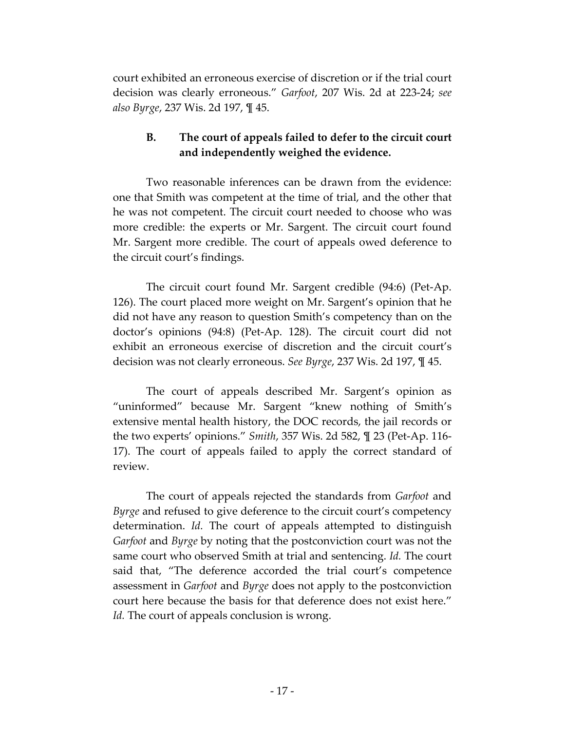court exhibited an erroneous exercise of discretion or if the trial court decision was clearly erroneous." *Garfoot*, 207 Wis. 2d at 223-24; *see also Byrge*, 237 Wis. 2d 197, ¶ 45.

## **B. The court of appeals failed to defer to the circuit court and independently weighed the evidence.**

Two reasonable inferences can be drawn from the evidence: one that Smith was competent at the time of trial, and the other that he was not competent. The circuit court needed to choose who was more credible: the experts or Mr. Sargent. The circuit court found Mr. Sargent more credible. The court of appeals owed deference to the circuit court's findings.

The circuit court found Mr. Sargent credible (94:6) (Pet-Ap. 126). The court placed more weight on Mr. Sargent's opinion that he did not have any reason to question Smith's competency than on the doctor's opinions (94:8) (Pet-Ap. 128). The circuit court did not exhibit an erroneous exercise of discretion and the circuit court's decision was not clearly erroneous. *See Byrge*, 237 Wis. 2d 197, ¶ 45.

The court of appeals described Mr. Sargent's opinion as "uninformed" because Mr. Sargent "knew nothing of Smith's extensive mental health history, the DOC records, the jail records or the two experts' opinions." *Smith*, 357 Wis. 2d 582, ¶ 23 (Pet-Ap. 116- 17). The court of appeals failed to apply the correct standard of review.

The court of appeals rejected the standards from *Garfoot* and *Byrge* and refused to give deference to the circuit court's competency determination. *Id.* The court of appeals attempted to distinguish *Garfoot* and *Byrge* by noting that the postconviction court was not the same court who observed Smith at trial and sentencing. *Id.* The court said that, "The deference accorded the trial court's competence assessment in *Garfoot* and *Byrge* does not apply to the postconviction court here because the basis for that deference does not exist here." *Id.* The court of appeals conclusion is wrong.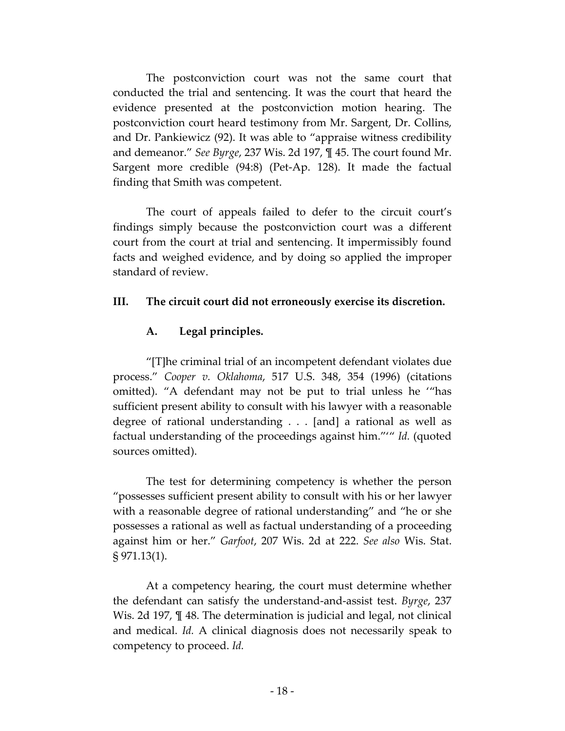The postconviction court was not the same court that conducted the trial and sentencing. It was the court that heard the evidence presented at the postconviction motion hearing. The postconviction court heard testimony from Mr. Sargent, Dr. Collins, and Dr. Pankiewicz (92). It was able to "appraise witness credibility and demeanor." *See Byrge*, 237 Wis. 2d 197, ¶ 45. The court found Mr. Sargent more credible (94:8) (Pet-Ap. 128). It made the factual finding that Smith was competent.

The court of appeals failed to defer to the circuit court's findings simply because the postconviction court was a different court from the court at trial and sentencing. It impermissibly found facts and weighed evidence, and by doing so applied the improper standard of review.

## **III. The circuit court did not erroneously exercise its discretion.**

## **A. Legal principles.**

"[T]he criminal trial of an incompetent defendant violates due process." *Cooper v. Oklahoma*, 517 U.S. 348, 354 (1996) (citations omitted). "A defendant may not be put to trial unless he '"has sufficient present ability to consult with his lawyer with a reasonable degree of rational understanding . . . [and] a rational as well as factual understanding of the proceedings against him."'" *Id.* (quoted sources omitted).

The test for determining competency is whether the person "possesses sufficient present ability to consult with his or her lawyer with a reasonable degree of rational understanding" and "he or she possesses a rational as well as factual understanding of a proceeding against him or her." *Garfoot*, 207 Wis. 2d at 222. *See also* Wis. Stat. § 971.13(1).

At a competency hearing, the court must determine whether the defendant can satisfy the understand-and-assist test. *Byrge*, 237 Wis. 2d 197, ¶ 48. The determination is judicial and legal, not clinical and medical. *Id.* A clinical diagnosis does not necessarily speak to competency to proceed. *Id.*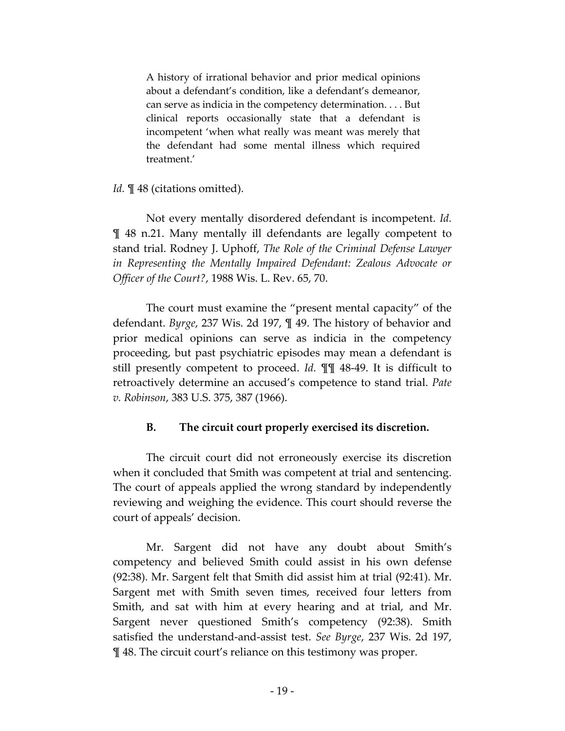A history of irrational behavior and prior medical opinions about a defendant's condition, like a defendant's demeanor, can serve as indicia in the competency determination. . . . But clinical reports occasionally state that a defendant is incompetent 'when what really was meant was merely that the defendant had some mental illness which required treatment.'

#### *Id.* **[48** (citations omitted).

Not every mentally disordered defendant is incompetent. *Id.* ¶ 48 n.21. Many mentally ill defendants are legally competent to stand trial. Rodney J. Uphoff, *The Role of the Criminal Defense Lawyer in Representing the Mentally Impaired Defendant: Zealous Advocate or Officer of the Court?*, 1988 Wis. L. Rev. 65, 70.

The court must examine the "present mental capacity" of the defendant. *Byrge*, 237 Wis. 2d 197, ¶ 49. The history of behavior and prior medical opinions can serve as indicia in the competency proceeding, but past psychiatric episodes may mean a defendant is still presently competent to proceed. *Id.* ¶¶ 48-49. It is difficult to retroactively determine an accused's competence to stand trial. *Pate v. Robinson*, 383 U.S. 375, 387 (1966).

#### **B. The circuit court properly exercised its discretion.**

The circuit court did not erroneously exercise its discretion when it concluded that Smith was competent at trial and sentencing. The court of appeals applied the wrong standard by independently reviewing and weighing the evidence. This court should reverse the court of appeals' decision.

Mr. Sargent did not have any doubt about Smith's competency and believed Smith could assist in his own defense (92:38). Mr. Sargent felt that Smith did assist him at trial (92:41). Mr. Sargent met with Smith seven times, received four letters from Smith, and sat with him at every hearing and at trial, and Mr. Sargent never questioned Smith's competency (92:38). Smith satisfied the understand-and-assist test. *See Byrge*, 237 Wis. 2d 197, ¶ 48. The circuit court's reliance on this testimony was proper.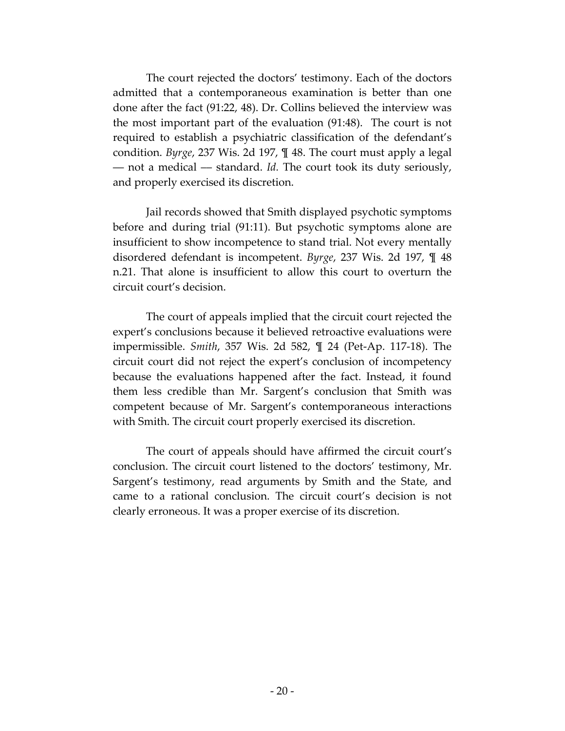The court rejected the doctors' testimony. Each of the doctors admitted that a contemporaneous examination is better than one done after the fact (91:22, 48). Dr. Collins believed the interview was the most important part of the evaluation (91:48). The court is not required to establish a psychiatric classification of the defendant's condition. *Byrge*, 237 Wis. 2d 197, ¶ 48. The court must apply a legal –– not a medical –– standard. *Id.* The court took its duty seriously, and properly exercised its discretion.

Jail records showed that Smith displayed psychotic symptoms before and during trial (91:11). But psychotic symptoms alone are insufficient to show incompetence to stand trial. Not every mentally disordered defendant is incompetent. *Byrge*, 237 Wis. 2d 197, ¶ 48 n.21. That alone is insufficient to allow this court to overturn the circuit court's decision.

The court of appeals implied that the circuit court rejected the expert's conclusions because it believed retroactive evaluations were impermissible. *Smith*, 357 Wis. 2d 582, ¶ 24 (Pet-Ap. 117-18). The circuit court did not reject the expert's conclusion of incompetency because the evaluations happened after the fact. Instead, it found them less credible than Mr. Sargent's conclusion that Smith was competent because of Mr. Sargent's contemporaneous interactions with Smith. The circuit court properly exercised its discretion.

The court of appeals should have affirmed the circuit court's conclusion. The circuit court listened to the doctors' testimony, Mr. Sargent's testimony, read arguments by Smith and the State, and came to a rational conclusion. The circuit court's decision is not clearly erroneous. It was a proper exercise of its discretion.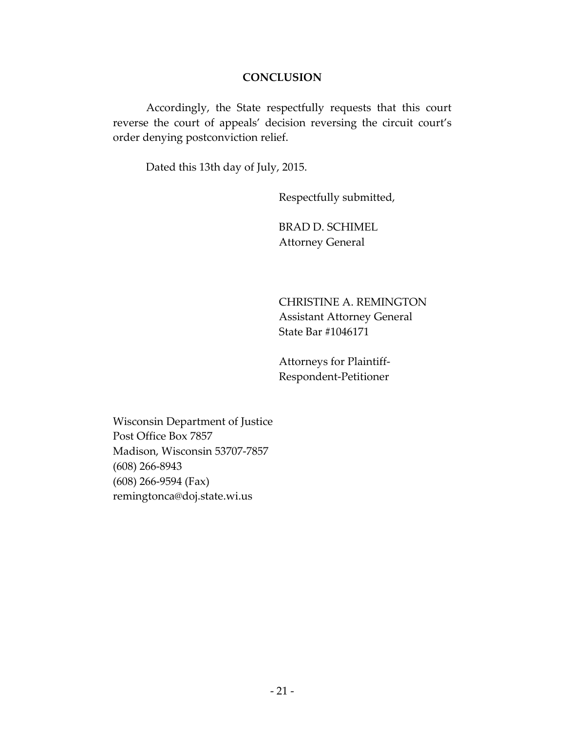#### **CONCLUSION**

Accordingly, the State respectfully requests that this court reverse the court of appeals' decision reversing the circuit court's order denying postconviction relief.

Dated this 13th day of July, 2015.

Respectfully submitted,

BRAD D. SCHIMEL Attorney General

CHRISTINE A. REMINGTON Assistant Attorney General State Bar #1046171

Attorneys for Plaintiff-Respondent-Petitioner

Wisconsin Department of Justice Post Office Box 7857 Madison, Wisconsin 53707-7857 (608) 266-8943 (608) 266-9594 (Fax) remingtonca@doj.state.wi.us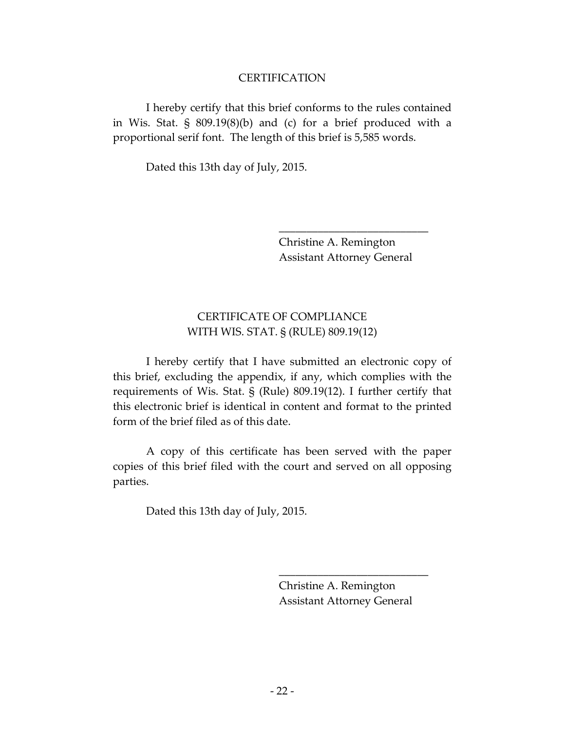#### **CERTIFICATION**

I hereby certify that this brief conforms to the rules contained in Wis. Stat. § 809.19(8)(b) and (c) for a brief produced with a proportional serif font. The length of this brief is 5,585 words.

Dated this 13th day of July, 2015.

Christine A. Remington Assistant Attorney General

\_\_\_\_\_\_\_\_\_\_\_\_\_\_\_\_\_\_\_\_\_\_\_\_\_\_\_

## CERTIFICATE OF COMPLIANCE WITH WIS. STAT. § (RULE) 809.19(12)

I hereby certify that I have submitted an electronic copy of this brief, excluding the appendix, if any, which complies with the requirements of Wis. Stat. § (Rule) 809.19(12). I further certify that this electronic brief is identical in content and format to the printed form of the brief filed as of this date.

A copy of this certificate has been served with the paper copies of this brief filed with the court and served on all opposing parties.

Dated this 13th day of July, 2015.

Christine A. Remington Assistant Attorney General

\_\_\_\_\_\_\_\_\_\_\_\_\_\_\_\_\_\_\_\_\_\_\_\_\_\_\_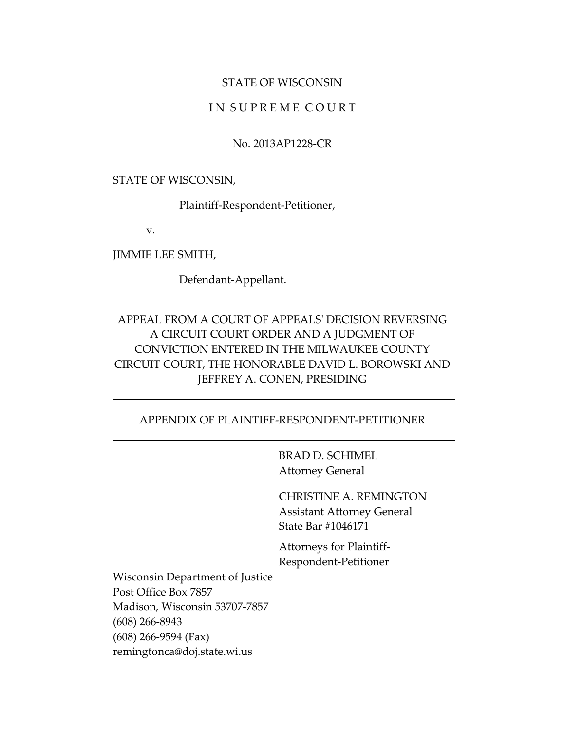#### STATE OF WISCONSIN

#### IN SUPREME COURT

#### No. 2013AP1228-CR

STATE OF WISCONSIN,

Plaintiff-Respondent-Petitioner,

v.

JIMMIE LEE SMITH,

Defendant-Appellant.

## APPEAL FROM A COURT OF APPEALS' DECISION REVERSING A CIRCUIT COURT ORDER AND A JUDGMENT OF CONVICTION ENTERED IN THE MILWAUKEE COUNTY CIRCUIT COURT, THE HONORABLE DAVID L. BOROWSKI AND JEFFREY A. CONEN, PRESIDING

#### APPENDIX OF PLAINTIFF-RESPONDENT-PETITIONER

BRAD D. SCHIMEL Attorney General

CHRISTINE A. REMINGTON Assistant Attorney General State Bar #1046171

Attorneys for Plaintiff-Respondent-Petitioner

Wisconsin Department of Justice Post Office Box 7857 Madison, Wisconsin 53707-7857 (608) 266-8943 (608) 266-9594 (Fax) remingtonca@doj.state.wi.us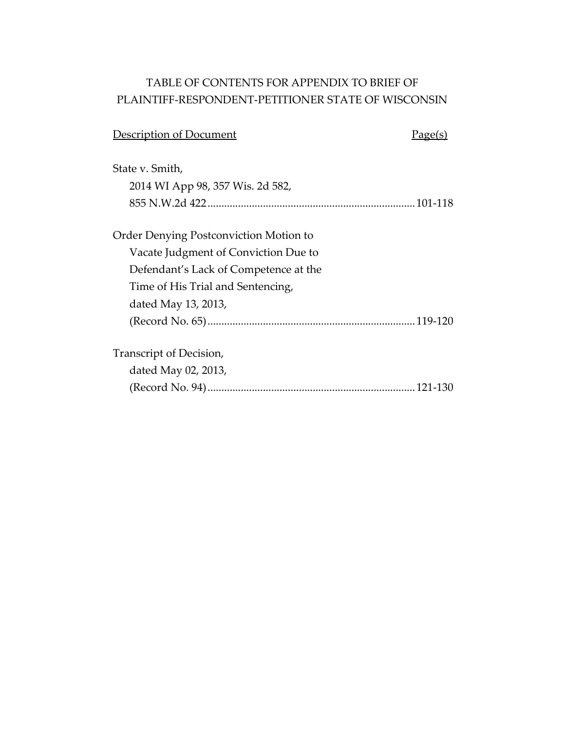## TABLE OF CONTENTS FOR APPENDIX TO BRIEF OF PLAINTIFF-RESPONDENT-PETITIONER STATE OF WISCONSIN

| Description of Document                | Page(s |
|----------------------------------------|--------|
| State v. Smith,                        |        |
| 2014 WI App 98, 357 Wis. 2d 582,       |        |
|                                        |        |
| Order Denying Postconviction Motion to |        |
| Vacate Judgment of Conviction Due to   |        |
| Defendant's Lack of Competence at the  |        |
| Time of His Trial and Sentencing,      |        |
| dated May 13, 2013,                    |        |
|                                        |        |
| Transcript of Decision,                |        |
| dated May 02, 2013,                    |        |
|                                        |        |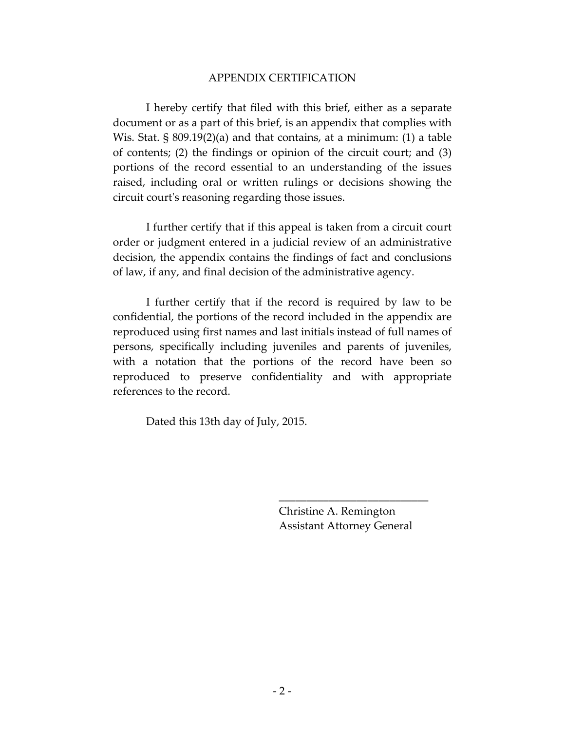#### APPENDIX CERTIFICATION

I hereby certify that filed with this brief, either as a separate document or as a part of this brief, is an appendix that complies with Wis. Stat. § 809.19(2)(a) and that contains, at a minimum: (1) a table of contents; (2) the findings or opinion of the circuit court; and (3) portions of the record essential to an understanding of the issues raised, including oral or written rulings or decisions showing the circuit court's reasoning regarding those issues.

I further certify that if this appeal is taken from a circuit court order or judgment entered in a judicial review of an administrative decision, the appendix contains the findings of fact and conclusions of law, if any, and final decision of the administrative agency.

I further certify that if the record is required by law to be confidential, the portions of the record included in the appendix are reproduced using first names and last initials instead of full names of persons, specifically including juveniles and parents of juveniles, with a notation that the portions of the record have been so reproduced to preserve confidentiality and with appropriate references to the record.

Dated this 13th day of July, 2015.

Christine A. Remington Assistant Attorney General

\_\_\_\_\_\_\_\_\_\_\_\_\_\_\_\_\_\_\_\_\_\_\_\_\_\_\_